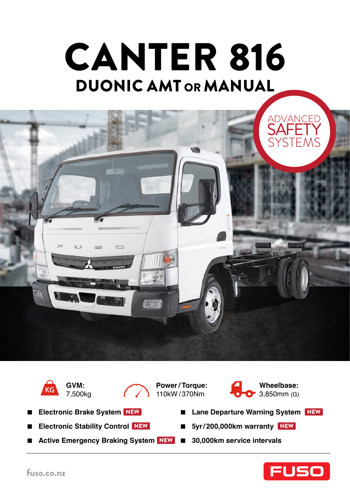# DUONIC AMT or MANUAL CANTER 816





**GVM:**  7,500kg



**Power / Torque:**  110kW / 370Nm



- **Electronic Brake System** NEW
- **Electronic Stability Control** NEW
- Active Emergency Braking System NEW 30,000km service intervals
- Lane Departure Warning System NEW
- NEW 5yr/200,000km warranty NEW
	-

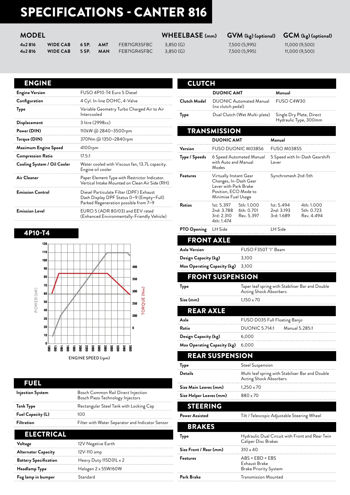# SPECIFICATIONS - CANTER 816

| 4x2816 | <b>WIDE CAB</b> |  |
|--------|-----------------|--|
| 4x2816 | <b>WIDE CAB</b> |  |

**4x2 816 WIDE CAB 6 SP. AMT** FEB71GR3SFBC 3,850 (G) 7,500 (5,995) 11,000 (9,500) **5 SP. MAN** FEB71GR4SFBC 3,850 (G) 7,500 (5,995) 11,000 (9,500)

**MODEL WHEELBASE (mm) GVM (kg) (optional) GCM (kg) (optional)**

| <b>Engine Version</b>       | FUSO 4P10-T4 Euro 5 Diesel                                                                                                   |
|-----------------------------|------------------------------------------------------------------------------------------------------------------------------|
| Configuration               | 4 Cyl. In-line DOHC, 4-Valve                                                                                                 |
| Type                        | Variable Geometry Turbo Charged Air to Air<br>Intercooled                                                                    |
| <b>Displacement</b>         | 3 litre (2998cc)                                                                                                             |
| Power (DIN)                 | 110kW @ 2840~3500rpm                                                                                                         |
| Torque (DIN)                | 370Nm @ 1350~2840rpm                                                                                                         |
| Maximum Engine Speed        | 4100rpm                                                                                                                      |
| <b>Compression Ratio</b>    | 17.5:1                                                                                                                       |
| Cooling System / Oil Cooler | Water cooled with Viscous fan, 13.7L capacity.<br>Engine oil cooler                                                          |
| Air Cleaner                 | Paper Element Type with Restrictor Indicator.<br>Vertical Intake Mounted on Clean Air Side (RH)                              |
| <b>Emission Control</b>     | Diesel Particulate Filter (DPF) Exhaust<br>Dash Display DPF Status 0~9 (Empty~Full)<br>Parked Regeneration possible from 7~9 |
| <b>Emission Level</b>       | EURO 5 (ADR 80/03) and EEV rated<br>(Enhanced Environmentally-Friendly Vehicle)                                              |
|                             |                                                                                                                              |

#### 4P10-T4



| EUEI                     |                                                                        |
|--------------------------|------------------------------------------------------------------------|
| <b>Injection System</b>  | Bosch Common Rail Direct Injection<br>Bosch Piezo Technology Injectors |
| Tank Type                | Rectangular Steel Tank with Locking Cap                                |
| <b>Fuel Capacity (L)</b> | 100                                                                    |
| <b>Filtration</b>        | Filter with Water Separator and Indicator Sensor                       |
| <b>ELECTRICAL</b>        |                                                                        |

| ---------                    |                        |
|------------------------------|------------------------|
| Voltage                      | 12V Negative Earth     |
| <b>Alternator Capacity</b>   | 12V-110 amp            |
| <b>Battery Specification</b> | Heavy Duty 115D31L x 2 |
| Headlamp Type                | Halogen 2 x 55W/60W    |
| Fog lamp in bumper           | Standard               |
|                              |                        |

| <b>CLUTCH</b>               |                                                                                                                          |                                                           |                                         |                                                   |  |  |  |
|-----------------------------|--------------------------------------------------------------------------------------------------------------------------|-----------------------------------------------------------|-----------------------------------------|---------------------------------------------------|--|--|--|
|                             |                                                                                                                          |                                                           |                                         |                                                   |  |  |  |
| Clutch Model                | <b>DUONIC AMT</b>                                                                                                        | DUONIC Automated Manual                                   | Manual<br>FUSO C4W30                    |                                                   |  |  |  |
|                             | (no clutch pedal)                                                                                                        |                                                           |                                         |                                                   |  |  |  |
| Type                        |                                                                                                                          | Dual Clutch (Wet Multi-plate)                             |                                         | Single Dry Plate, Direct<br>Hydraulic Type, 300mm |  |  |  |
|                             | <b>TRANSMISSION</b>                                                                                                      |                                                           |                                         |                                                   |  |  |  |
|                             | <b>DUONIC AMT</b>                                                                                                        |                                                           | Manual                                  |                                                   |  |  |  |
| Version                     |                                                                                                                          | FUSO DUONIC M038S6                                        |                                         | FUSO M038S5                                       |  |  |  |
| Type / Speeds               | with Auto and Manual<br>Modes                                                                                            | 6 Speed Automated Manual                                  | 5 Speed with In-Dash Gearshift<br>Lever |                                                   |  |  |  |
| Features                    | Virtually Instant Gear<br>Changes, In-Dash Gear<br>Lever with Park Brake<br>Position, ECO Mode to<br>Minimise Fuel Usage |                                                           | Synchromesh 2nd-5th                     |                                                   |  |  |  |
| Ratios                      | 1st: 5.397<br>2nd: 3.788<br>3rd: 2.310<br>4th: 1.474                                                                     | 5th: 1.000<br>6th: 0.701<br>Rev. 5.397                    | 1st: 5.494<br>2nd: 3.193<br>3rd: 1.689  | 4th: 1.000<br>5th: 0.723<br>Rev. 4.494            |  |  |  |
| PTO Opening                 | LH Side                                                                                                                  |                                                           | LH Side                                 |                                                   |  |  |  |
| <b>FRONT AXLE</b>           |                                                                                                                          |                                                           |                                         |                                                   |  |  |  |
| Axle Version                |                                                                                                                          | FUSO F350T "I" Beam                                       |                                         |                                                   |  |  |  |
| Design Capacity (kg)        |                                                                                                                          | 3,100                                                     |                                         |                                                   |  |  |  |
| Max Operating Capacity (kg) |                                                                                                                          | 3,100                                                     |                                         |                                                   |  |  |  |
|                             | <b>FRONT SUSPENSION</b>                                                                                                  |                                                           |                                         |                                                   |  |  |  |
| Type                        |                                                                                                                          | Acting Shock Absorbers                                    |                                         | Taper leaf spring with Stabiliser Bar and Double  |  |  |  |
| Size (mm)                   |                                                                                                                          | 1,150 x 70                                                |                                         |                                                   |  |  |  |
| <b>REAR AXLE</b>            |                                                                                                                          |                                                           |                                         |                                                   |  |  |  |
| Axle                        |                                                                                                                          | FUSO D035 Full Floating Banjo                             |                                         |                                                   |  |  |  |
| Ratio                       |                                                                                                                          | DUONIC 5.714:1                                            |                                         | Manual 5.285:1                                    |  |  |  |
| Design Capacity (kg)        |                                                                                                                          | 6,000                                                     |                                         |                                                   |  |  |  |
| Max Operating Capacity (kg) |                                                                                                                          | 6,000                                                     |                                         |                                                   |  |  |  |
|                             | <b>REAR SUSPENSION</b>                                                                                                   |                                                           |                                         |                                                   |  |  |  |
| Туре                        |                                                                                                                          | <b>Steel Suspension</b>                                   |                                         |                                                   |  |  |  |
| Details                     |                                                                                                                          | <b>Acting Shock Absorbers</b>                             |                                         | Multi leaf spring with Stabiliser Bar and Double  |  |  |  |
| Size Main Leaves (mm)       |                                                                                                                          | 1,250 x 70                                                |                                         |                                                   |  |  |  |
| Size Helper Leaves (mm)     |                                                                                                                          | 880 x 70                                                  |                                         |                                                   |  |  |  |
| <b>STEERING</b>             |                                                                                                                          |                                                           |                                         |                                                   |  |  |  |
| Power Assisted              |                                                                                                                          | Tilt / Telescopic Adjustable Steering Wheel               |                                         |                                                   |  |  |  |
| <b>BRAKES</b>               |                                                                                                                          |                                                           |                                         |                                                   |  |  |  |
| Type                        |                                                                                                                          | Caliper Disc Brakes                                       |                                         | Hydraulic Dual Circuit with Front and Rear Twin   |  |  |  |
| Size Front / Rear (mm)      |                                                                                                                          | 310 x 40                                                  |                                         |                                                   |  |  |  |
| Features                    |                                                                                                                          | ABS + EBD + EBS<br>Exhaust Brake<br>Brake Priority System |                                         |                                                   |  |  |  |
| Park Brake                  |                                                                                                                          | Transmission Mounted                                      |                                         |                                                   |  |  |  |
|                             |                                                                                                                          |                                                           |                                         |                                                   |  |  |  |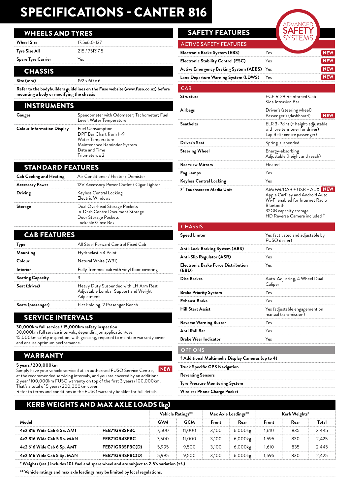### SPECIFICATIONS - CANTER 816

#### WHEELS AND TYRES

**Wheel Size** 17.5x6.0-127 **Tyre Size All** 215 / 75R17.5 **Spare Tyre Carrier Yes** 

#### **CHASSIS**

**Size (mm)** 192 x 60 x 6

**Refer to the bodybuilders guidelines on the Fuso website (www.fuso.co.nz) before mounting a body or modifying the chassis**

| <b>INSTRUMENTS</b>                |                                                                                                                                          |
|-----------------------------------|------------------------------------------------------------------------------------------------------------------------------------------|
| Gauges                            | Speedometer with Odometer; Tachometer; Fuel<br>Level; Water Temperature                                                                  |
| <b>Colour Information Display</b> | <b>Fuel Consumption</b><br>DPF Bar Chart from 1~9<br>Water Temperature<br>Maintenance Reminder System<br>Date and Time<br>Tripmeters x 2 |

#### STANDARD FEATURES

| <b>Cab Cooling and Heating</b> | Air Conditioner / Heater / Demister                                                                            |
|--------------------------------|----------------------------------------------------------------------------------------------------------------|
| <b>Accessory Power</b>         | 12V Accessory Power Outlet / Cigar Lighter                                                                     |
| Driving                        | Keyless Central Locking<br>Electric Windows                                                                    |
| Storage                        | Dual Overhead Storage Pockets<br>In-Dash Centre Document Storage<br>Door Storage Pockets<br>Lockable Glove Box |

| <b>CAB FEATURES</b>     |                                                                                             |
|-------------------------|---------------------------------------------------------------------------------------------|
| Type                    | All Steel Forward Control Fixed Cab                                                         |
| Mounting                | Hydroelastic 4 Point                                                                        |
| Colour                  | Natural White (W31)                                                                         |
| Interior                | Fully Trimmed cab with vinyl floor covering                                                 |
| <b>Seating Capacity</b> |                                                                                             |
| Seat (driver)           | Heavy Duty Suspended with LH Arm Rest<br>Adjustable Lumbar Support and Weight<br>Adjustment |
| Seats (passenger)       | Flat Folding, 2 Passenger Bench                                                             |

#### SERVICE INTERVALS

**30,000km full service / 15,000km safety inspection**

30,000km full service intervals, depending on application/use. 15,000km safety inspection, with greasing, required to maintain warranty cover and ensure optimum performance.

#### WARRANTY

```
5 years / 200,000km
```
Simply have your vehicle serviced at an authorised FUSO Service Centre, NEWat the recommended servicing intervals, and you are covered by an additional 2 year / 100,000km FUSO warranty on top of the first 3 years / 100,000km. That's a total of 5 years / 200,000km cover.

Refer to terms and conditions in the FUSO warranty booklet for full details.

### **SAFETY FEATURES**

| <b>ACTIVE SAFETY FEATURES</b>              |     |  |
|--------------------------------------------|-----|--|
| Electronic Brake System (EBS)              | Υρς |  |
| <b>Electronic Stability Control (ESC)</b>  | Yes |  |
| Active Emergency Braking System (AEBS) Yes |     |  |
| Lane Departure Warning System (LDWS)       | Yes |  |

#### CAB

| Structure                                                                                  | ECE R-29 Reinforced Cab<br>Side Intrusion Bar                                                                                                                         |
|--------------------------------------------------------------------------------------------|-----------------------------------------------------------------------------------------------------------------------------------------------------------------------|
| Airbags                                                                                    | Driver's (steering wheel)<br>Passenger's (dashboard)<br><b>NEW</b>                                                                                                    |
| <b>Seatbelts</b>                                                                           | ELR 3-Point (+ height-adjustable<br>with pre tensioner for driver)<br>Lap Belt (centre passenger)                                                                     |
| Driver's Seat                                                                              | Spring-suspended                                                                                                                                                      |
| <b>Steering Wheel</b>                                                                      | Energy-absorbing<br>Adjustable (height and reach)                                                                                                                     |
| <b>Rearview Mirrors</b>                                                                    | Heated                                                                                                                                                                |
| Fog Lamps                                                                                  | Yes                                                                                                                                                                   |
| <b>Keyless Central Locking</b>                                                             | Yes                                                                                                                                                                   |
| 7″ Touchscreen Media Unit                                                                  | AM/FM/DAB + USB + AUX NEW<br>Apple CarPlay and Android Auto<br>Wi-Fi enabled for Internet Radio<br>Bluetooth<br>32GB capacity storage<br>HD Reverse Camera included † |
| <b>CHASSIS</b>                                                                             |                                                                                                                                                                       |
| Speed Limter                                                                               | Yes (activated and adjustable by<br>FUSO dealer)                                                                                                                      |
| Anti-Lock Braking System (ABS)                                                             | Yes                                                                                                                                                                   |
| Anti-Slip Regulator (ASR)                                                                  | Yes                                                                                                                                                                   |
| <b>Electronic Brake Force Distribution</b><br>(EBD)                                        | Yes                                                                                                                                                                   |
| Disc Brakes                                                                                | Auto-Adjusting, 4 Wheel Dual<br>Caliper                                                                                                                               |
| Brake Priority System                                                                      | Yes                                                                                                                                                                   |
| <b>Exhaust Brake</b>                                                                       | Yes                                                                                                                                                                   |
| <b>Hill Start Assist</b>                                                                   | Yes (adjustable engagement on<br>manual transmission)                                                                                                                 |
|                                                                                            |                                                                                                                                                                       |
| Reverse Warning Buzzer                                                                     | Yes                                                                                                                                                                   |
| Anti Roll Bar                                                                              | Yes                                                                                                                                                                   |
| <b>Brake Wear Indicator</b>                                                                | Yes                                                                                                                                                                   |
| <b>OPTIONS</b>                                                                             |                                                                                                                                                                       |
|                                                                                            |                                                                                                                                                                       |
| $\dagger$ Additional Multimedia Display Cameras (up to 4)<br>Truck Specific GPS Navigation |                                                                                                                                                                       |

**Reversing Sensors**

**Tyre Pressure Monitoring System**

**Wireless Phone Charge Pocket**

### KERB WEIGHTS AND MAX AXLE LOADS (kg)

|                                                                                            |                     | Vehicle Ratings** |            | Max Axle Loadings** |         | Kerb Weights* |      |       |
|--------------------------------------------------------------------------------------------|---------------------|-------------------|------------|---------------------|---------|---------------|------|-------|
| Model                                                                                      |                     | <b>GVM</b>        | <b>GCM</b> | Front               | Rear    | Front         | Rear | Total |
| 4x2 816 Wide Cab 6 Sp. AMT                                                                 | <b>FEB71GR3SFBC</b> | 7.500             | 11.000     | 3.100               | 6,000kg | 1,610         | 835  | 2,445 |
| 4x2 816 Wide Cab 5 Sp. MAN                                                                 | <b>FEB71GR4SFBC</b> | 7.500             | 11.000     | 3.100               | 6,000kg | 1.595         | 830  | 2.425 |
| 4x2 616 Wide Cab 6 Sp. AMT                                                                 | FEB71GR3SFBC(D)     | 5.995             | 9.500      | 3.100               | 6,000kg | 1,610         | 835  | 2,445 |
| 4x2 616 Wide Cab 5 Sp. MAN                                                                 | FEB71GR4SFBC(D)     | 5.995             | 9.500      | 3.100               | 6,000kg | 1,595         | 830  | 2,425 |
| * Weights (est.) includes 10L fuel and spare wheel and are subject to 2.5% variation (+/-) |                     |                   |            |                     |         |               |      |       |

**\*\* Vehicle ratings and max axle loadings may be limited by local regulations.**